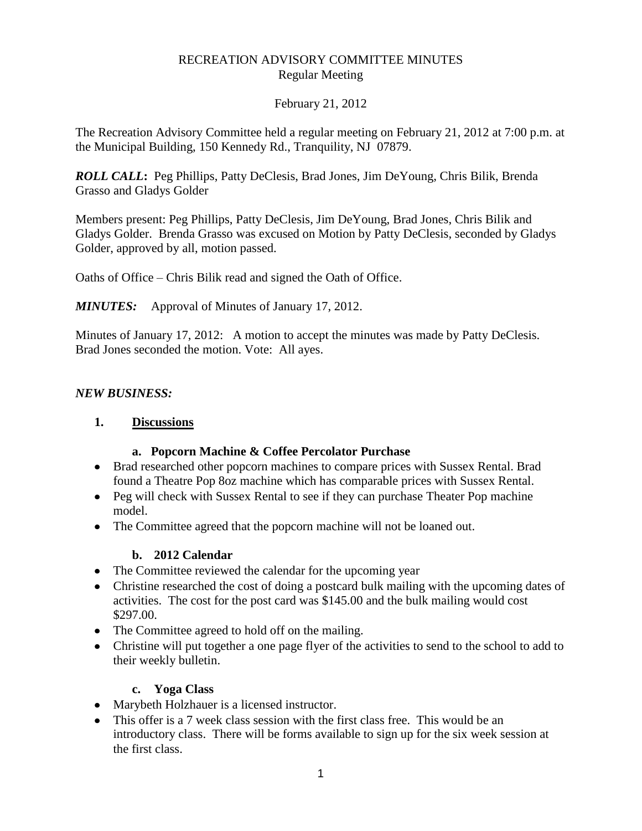## RECREATION ADVISORY COMMITTEE MINUTES Regular Meeting

### February 21, 2012

The Recreation Advisory Committee held a regular meeting on February 21, 2012 at 7:00 p.m. at the Municipal Building, 150 Kennedy Rd., Tranquility, NJ 07879.

*ROLL CALL***:** Peg Phillips, Patty DeClesis, Brad Jones, Jim DeYoung, Chris Bilik, Brenda Grasso and Gladys Golder

Members present: Peg Phillips, Patty DeClesis, Jim DeYoung, Brad Jones, Chris Bilik and Gladys Golder. Brenda Grasso was excused on Motion by Patty DeClesis, seconded by Gladys Golder, approved by all, motion passed.

Oaths of Office – Chris Bilik read and signed the Oath of Office.

*MINUTES:* Approval of Minutes of January 17, 2012.

Minutes of January 17, 2012: A motion to accept the minutes was made by Patty DeClesis. Brad Jones seconded the motion. Vote: All ayes.

### *NEW BUSINESS:*

### **1. Discussions**

#### **a. Popcorn Machine & Coffee Percolator Purchase**

- Brad researched other popcorn machines to compare prices with Sussex Rental. Brad found a Theatre Pop 8oz machine which has comparable prices with Sussex Rental.
- Peg will check with Sussex Rental to see if they can purchase Theater Pop machine model.
- The Committee agreed that the popcorn machine will not be loaned out.

#### **b. 2012 Calendar**

- The Committee reviewed the calendar for the upcoming year
- Christine researched the cost of doing a postcard bulk mailing with the upcoming dates of activities. The cost for the post card was \$145.00 and the bulk mailing would cost \$297.00.
- The Committee agreed to hold off on the mailing.
- Christine will put together a one page flyer of the activities to send to the school to add to their weekly bulletin.

## **c. Yoga Class**

- Marybeth Holzhauer is a licensed instructor.
- This offer is a 7 week class session with the first class free. This would be an introductory class. There will be forms available to sign up for the six week session at the first class.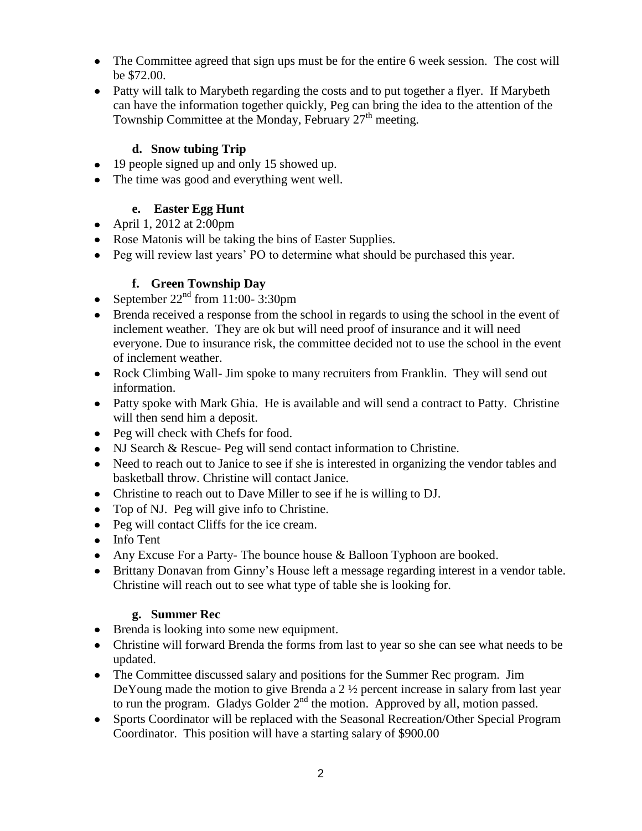- The Committee agreed that sign ups must be for the entire 6 week session. The cost will be \$72.00.
- Patty will talk to Marybeth regarding the costs and to put together a flyer. If Marybeth can have the information together quickly, Peg can bring the idea to the attention of the Township Committee at the Monday, February  $27<sup>th</sup>$  meeting.

# **d. Snow tubing Trip**

- 19 people signed up and only 15 showed up.
- The time was good and everything went well.

# **e. Easter Egg Hunt**

- April 1, 2012 at 2:00pm
- Rose Matonis will be taking the bins of Easter Supplies.
- Peg will review last years' PO to determine what should be purchased this year.

# **f. Green Township Day**

- September  $22<sup>nd</sup>$  from 11:00-3:30pm
- Brenda received a response from the school in regards to using the school in the event of inclement weather. They are ok but will need proof of insurance and it will need everyone. Due to insurance risk, the committee decided not to use the school in the event of inclement weather.
- Rock Climbing Wall- Jim spoke to many recruiters from Franklin. They will send out information.
- Patty spoke with Mark Ghia. He is available and will send a contract to Patty. Christine will then send him a deposit.
- Peg will check with Chefs for food.
- NJ Search & Rescue- Peg will send contact information to Christine.
- Need to reach out to Janice to see if she is interested in organizing the vendor tables and basketball throw. Christine will contact Janice.
- Christine to reach out to Dave Miller to see if he is willing to DJ.
- Top of NJ. Peg will give info to Christine.
- Peg will contact Cliffs for the ice cream.
- Info Tent
- Any Excuse For a Party- The bounce house & Balloon Typhoon are booked.
- Brittany Donavan from Ginny's House left a message regarding interest in a vendor table. Christine will reach out to see what type of table she is looking for.

# **g. Summer Rec**

- Brenda is looking into some new equipment.
- Christine will forward Brenda the forms from last to year so she can see what needs to be updated.
- The Committee discussed salary and positions for the Summer Rec program. Jim DeYoung made the motion to give Brenda a 2  $\frac{1}{2}$  percent increase in salary from last year to run the program. Gladys Golder  $2<sup>nd</sup>$  the motion. Approved by all, motion passed.
- Sports Coordinator will be replaced with the Seasonal Recreation/Other Special Program Coordinator. This position will have a starting salary of \$900.00